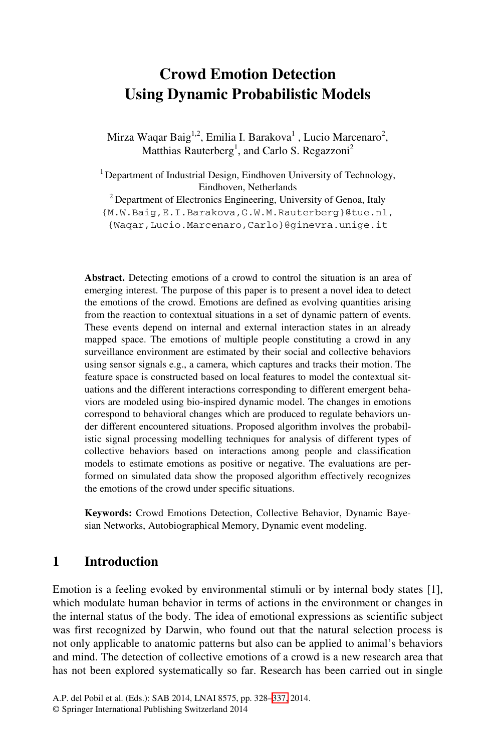# **Crowd Emotion Detection Using Dynamic Probabilistic Models**

Mirza Waqar Baig<sup>1,2</sup>, Emilia I. Barakova<sup>1</sup>, Lucio Marcenaro<sup>2</sup>, Matthias Rauterberg<sup>1</sup>, and Carlo S. Regazzoni<sup>2</sup>

<sup>1</sup> Department of Industrial Design, Eindhoven University of Technology, Eindhoven, Netherlands

 $2$  Department of Electronics Engineering, University of Genoa, Italy {M.W.Baig,E.I.Barakova,G.W.M.Rauterberg}@tue.nl,

{Waqar,Lucio.Marcenaro,Carlo}@ginevra.unige.it

**Abstract.** Detecting emotions of a crowd to control the situation is an area of emerging interest. The purpose of this paper is to present a novel idea to detect the emotions of the crowd. Emotions are defined as evolving quantities arising from the reaction to contextual situations in a set of dynamic pattern of events. These events depend on internal and external interaction states in an already mapped space. The emotions of multiple people constituting a crowd in any surveillance environment are estimated by their social and collective behaviors using sensor signals e.g., a camera, which captures and tracks their motion. The feature space is constructed based on local features to model the contextual situations and the different interactions corresponding to different emergent behaviors are modeled using bio-inspired dynamic model. The changes in emotions correspond to behavioral changes which are produced to regulate behaviors under different encountered situations. Proposed algorithm involves the probabilistic signal processing modelling techniques for analysis of different types of collective behaviors based on interactions among people and classification models to estimate emotions as positive or negative. The evaluations are performed on simulated data show the proposed algorithm effectively recognizes the emotions of the crowd under specific situations.

**Keywords:** Crowd Emotions Detection, Collective Behavior, Dynamic Bayesian Networks, Autobiographical Memory, Dynamic event modeling.

## **1 Introduction**

Emotion is a feeling evoked [by](#page-9-0) environmental stimuli or by internal body states [1], which modulate human behavior in terms of actions in the environment or changes in the internal status of the body. The idea of emotional expressions as scientific subject was first recognized by Darwin, who found out that the natural selection process is not only applicable to anatomic patterns but also can be applied to animal's behaviors and mind. The detection of collective emotions of a crowd is a new research area that has not been explored systematically so far. Research has been carried out in single

A.P. del Pobil et al. (Eds.): SAB 2014, LNAI 8575, pp. 328–337, 2014.

<sup>©</sup> Springer International Publishing Switzerland 2014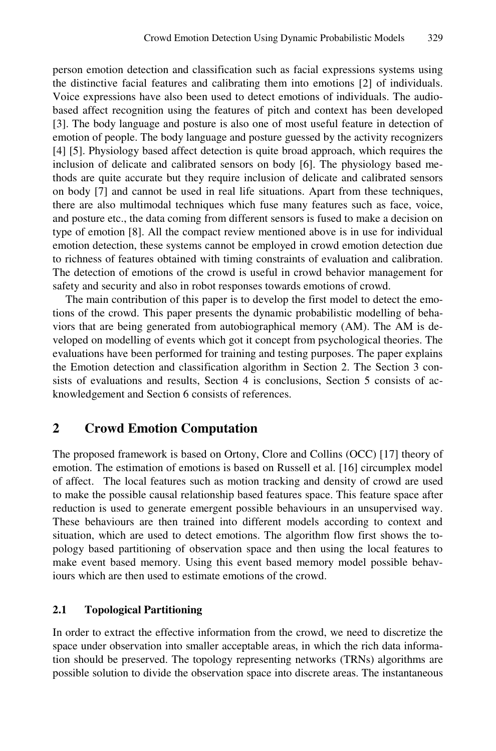person emotion detection and classification such as facial expressions systems using the distinctive facial features and calibrating them into emotions [2] of individuals. Voice expressions have also been used to detect emotions of individuals. The audiobased affect recognition using the features of pitch and context has been developed [3]. The body language and posture is also one of most useful feature in detection of emotion of people. The body language and posture guessed by the activity recognizers [4] [5]. Physiology based affect detection is quite broad approach, which requires the inclusion of delicate and calibrated sensors on body [6]. The physiology based methods are quite accurate but they require inclusion of delicate and calibrated sensors on body [7] and cannot be used in real life situations. Apart from these techniques, there are also multimodal techniques which fuse many features such as face, voice, and posture etc., the data coming from different sensors is fused to make a decision on type of emotion [8]. All the compact review mentioned above is in use for individual emotion detection, these systems cannot be employed in crowd emotion detection due to richness of features obtained with timing constraints of evaluation and calibration. The detection of emotions of the crowd is useful in crowd behavior management for safety and security and also in robot responses towards emotions of crowd.

The main contribution of this paper is to develop the first model to detect the emotions of the crowd. This paper presents the dynamic probabilistic modelling of behaviors that are being generated from autobiographical memory (AM). The AM is developed on modelling of events which got it concept from psychological theories. The evaluations have been performed for training and testing purposes. The paper explains the Emotion detection and classification algorithm in Section 2. The Section 3 consists of evaluations and results, Section 4 is conclusions, Section 5 consists of acknowledgement and Section 6 consists of references.

# **2 Crowd Emotion Computation**

The proposed framework is based on Ortony, Clore and Collins (OCC) [17] theory of emotion. The estimation of emotions is based on Russell et al. [16] circumplex model of affect. The local features such as motion tracking and density of crowd are used to make the possible causal relationship based features space. This feature space after reduction is used to generate emergent possible behaviours in an unsupervised way. These behaviours are then trained into different models according to context and situation, which are used to detect emotions. The algorithm flow first shows the topology based partitioning of observation space and then using the local features to make event based memory. Using this event based memory model possible behaviours which are then used to estimate emotions of the crowd.

#### **2.1 Topological Partitioning**

In order to extract the effective information from the crowd, we need to discretize the space under observation into smaller acceptable areas, in which the rich data information should be preserved. The topology representing networks (TRNs) algorithms are possible solution to divide the observation space into discrete areas. The instantaneous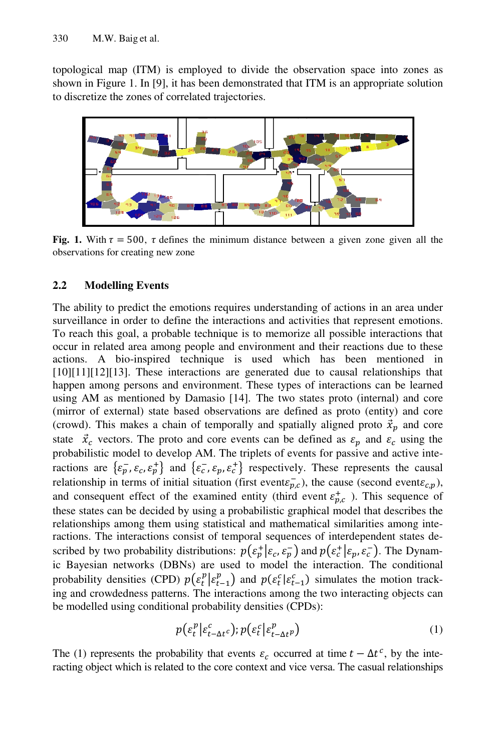topological map (ITM) is employed to divide the observation space into zones as shown in Figure 1. In [9], it has been demonstrated that ITM is an appropriate solution to discretize the zones of correlated trajectories.



**Fig. 1.** With  $\tau = 500$ ,  $\tau$  defines the minimum distance between a given zone given all the observations for creating new zone

#### **2.2 Modelling Events**

The ability to predict the emotions requires understanding of actions in an area under surveillance in order to define the interactions and activities that represent emotions. To reach this goal, a probable technique is to memorize all possible interactions that occur in related area among people and environment and their reactions due to these actions. A bio-inspired technique is used which has been mentioned in [10][11][12][13]. These interactions are generated due to causal relationships that happen among persons and environment. These types of interactions can be learned using AM as mentioned by Damasio [14]. The two states proto (internal) and core (mirror of external) state based observations are defined as proto (entity) and core (crowd). This makes a chain of temporally and spatially aligned proto  $\vec{x}_p$  and core state  $\vec{x}_c$  vectors. The proto and core events can be defined as  $\varepsilon_p$  and  $\varepsilon_c$  using the probabilistic model to develop AM. The triplets of events for passive and active interactions are  $\{\varepsilon_p^-, \varepsilon_c, \varepsilon_p^+\}$  and  $\{\varepsilon_c^-, \varepsilon_p, \varepsilon_c^+\}$  respectively. These represents the causal relationship in terms of initial situation (first event $\varepsilon_{p,c}$ ), the cause (second event $\varepsilon_{c,p}$ ), and consequent effect of the examined entity (third event  $\varepsilon_{p,c}^+$  ). This sequence of these states can be decided by using a probabilistic graphical model that describes the relationships among them using statistical and mathematical similarities among interactions. The interactions consist of temporal sequences of interdependent states described by two probability distributions:  $p(\epsilon_p^+ | \epsilon_c, \epsilon_p^-)$  and  $p(\epsilon_c^+ | \epsilon_p, \epsilon_c^-)$ . The Dynamic Bayesian networks (DBNs) are used to model the interaction. The conditional probability densities (CPD)  $p(\varepsilon_t^p | \varepsilon_{t-1}^p)$  and  $p(\varepsilon_t^c | \varepsilon_{t-1}^c)$  simulates the motion tracking and crowdedness patterns. The interactions among the two interacting objects can be modelled using conditional probability densities (CPDs):

$$
p(\varepsilon_t^p | \varepsilon_{t-\Delta t^c}^c); p(\varepsilon_t^c | \varepsilon_{t-\Delta t^p}^p)
$$
 (1)

The (1) represents the probability that events  $\varepsilon_c$  occurred at time  $t - \Delta t^c$ , by the interacting object which is related to the core context and vice versa. The casual relationships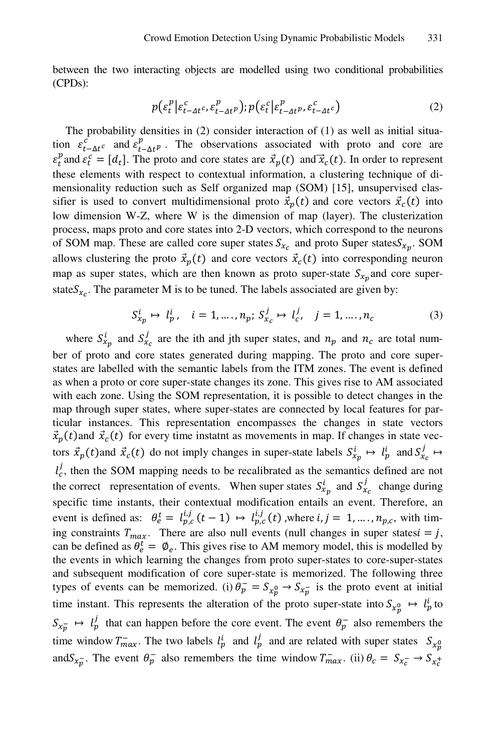between the two interacting objects are modelled using two conditional probabilities (CPDs):

$$
p(\varepsilon_t^p | \varepsilon_{t-4t}^c, \varepsilon_{t-4t}^p); p(\varepsilon_t^c | \varepsilon_{t-4t}^p, \varepsilon_{t-4t}^c)
$$
 (2)

The probability densities in (2) consider interaction of (1) as well as initial situation  $\varepsilon_{t-\Delta t}^c$  and  $\varepsilon_{t-\Delta t}^p$ . The observations associated with proto and core are  $\varepsilon_t^p$  and  $\varepsilon_t^c = [d_t]$ . The proto and core states are  $\vec{x}_p(t)$  and  $\vec{x}_c(t)$ . In order to represent these elements with respect to contextual information, a clustering technique of dimensionality reduction such as Self organized map (SOM) [15], unsupervised classifier is used to convert multidimensional proto  $\vec{x}_p(t)$  and core vectors  $\vec{x}_c(t)$  into low dimension W-Z, where W is the dimension of map (layer). The clusterization process, maps proto and core states into 2-D vectors, which correspond to the neurons of SOM map. These are called core super states  $S_{x_c}$  and proto Super states  $S_{x_n}$ . SOM allows clustering the proto  $\vec{x}_p(t)$  and core vectors  $\vec{x}_c(t)$  into corresponding neuron map as super states, which are then known as proto super-state  $S_{x_n}$  and core superstate $S_{x_c}$ . The parameter M is to be tuned. The labels associated are given by:

$$
S_{x_p}^i \mapsto l_p^i, \quad i = 1, \dots, n_p; \ S_{x_c}^j \mapsto l_c^j, \quad j = 1, \dots, n_c \tag{3}
$$

where  $S_{x_p}^i$  and  $S_{x_c}^j$  are the ith and jth super states, and  $n_p$  and  $n_c$  are total number of proto and core states generated during mapping. The proto and core superstates are labelled with the semantic labels from the ITM zones. The event is defined as when a proto or core super-state changes its zone. This gives rise to AM associated with each zone. Using the SOM representation, it is possible to detect changes in the map through super states, where super-states are connected by local features for particular instances. This representation encompasses the changes in state vectors  $\vec{x}_p(t)$  and  $\vec{x}_c(t)$  for every time instatnt as movements in map. If changes in state vectors  $\vec{x}_p(t)$  and  $\vec{x}_c(t)$  do not imply changes in super-state labels  $S_{x_p}^i \mapsto l_p^i$  and  $S_{x_c}^j \mapsto$  $l_c^j$ , then the SOM mapping needs to be recalibrated as the semantics defined are not the correct representation of events. When super states  $S_{x_p}^i$  and  $S_{x_c}^j$  change during specific time instants, their contextual modification entails an event. Therefore, an event is defined as:  $\theta_e^t = l_{p,c}^{i,j}(t-1) \leftrightarrow l_{p,c}^{i,j}(t)$ , where  $i, j = 1, ..., n_{p,c}$ , with timing constraints  $T_{max}$ . There are also null events (null changes in super statesi = j, can be defined as  $\theta_e^t = \varnothing_e$ . This gives rise to AM memory model, this is modelled by the events in which learning the changes from proto super-states to core-super-states and subsequent modification of core super-state is memorized. The following three types of events can be memorized. (i)  $\theta_p^- = S_{x_p^0} \to S_{x_p^-}$  is the proto event at initial time instant. This represents the alteration of the proto super-state into  $S_{x_p^0} \mapsto l_p^i$  to  $S_{x}$   $\mapsto l_p^j$  that can happen before the core event. The event  $\theta_p$  also remembers the time window  $T_{max}^-$ . The two labels  $l_p^i$  and  $l_p^j$  and are related with super states  $S_{\chi_p^0}$ and  $S_{x_{\overline{p}}}$ . The event  $\theta_p^-$  also remembers the time window  $T_{max}^-$ . (ii)  $\theta_c = S_{x_c^-} \rightarrow S_{x_c^+}$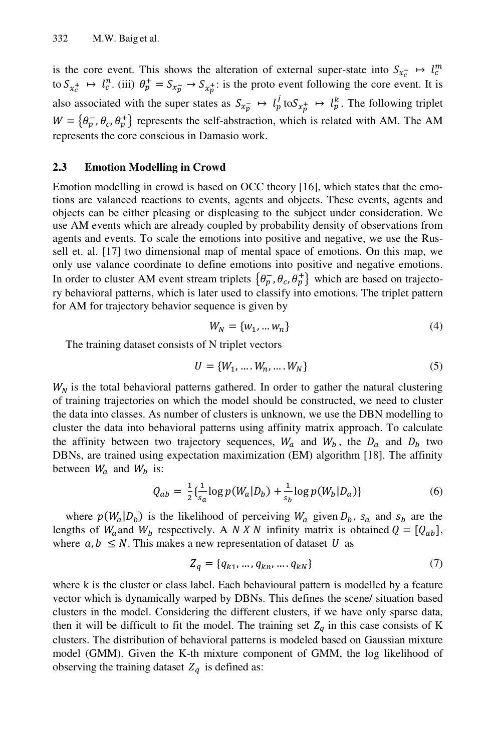is the core event. This shows the alteration of external super-state into  $S_{x_c^-} \mapsto l_c^m$ to  $S_{x_c^+} \leftrightarrow l_c^n$ . (iii)  $\theta_p^+ = S_{x_p^-} \rightarrow S_{x_p^+}$ : is the proto event following the core event. It is also associated with the super states as  $S_{x^-_p} \mapsto l_p^j \text{ to } S_{x^+_p} \mapsto l_p^k$ . The following triplet  $W = {\theta_p^-, \theta_c, \theta_p^+}$  represents the self-abstraction, which is related with AM. The AM represents the core conscious in Damasio work.

#### **2.3 Emotion Modelling in Crowd**

Emotion modelling in crowd is based on OCC theory [16], which states that the emotions are valanced reactions to events, agents and objects. These events, agents and objects can be either pleasing or displeasing to the subject under consideration. We use AM events which are already coupled by probability density of observations from agents and events. To scale the emotions into positive and negative, we use the Russell et. al. [17] two dimensional map of mental space of emotions. On this map, we only use valance coordinate to define emotions into positive and negative emotions. In order to cluster AM event stream triplets  $\{\theta_p^-, \theta_c, \theta_p^+\}$  which are based on trajectory behavioral patterns, which is later used to classify into emotions. The triplet pattern for AM for trajectory behavior sequence is given by

$$
W_N = \{w_1, \dots w_n\} \tag{4}
$$

The training dataset consists of N triplet vectors

$$
U = \{W_1, \dots, W_n, \dots, W_N\}
$$
 (5)

 $W_N$  is the total behavioral patterns gathered. In order to gather the natural clustering of training trajectories on which the model should be constructed, we need to cluster the data into classes. As number of clusters is unknown, we use the DBN modelling to cluster the data into behavioral patterns using affinity matrix approach. To calculate the affinity between two trajectory sequences,  $W_a$  and  $W_b$ , the  $D_a$  and  $D_b$  two DBNs, are trained using expectation maximization (EM) algorithm [18]. The affinity between  $W_a$  and  $W_b$  is:

$$
Q_{ab} = \frac{1}{2} \{ \frac{1}{s_a} \log p(W_a | D_b) + \frac{1}{s_b} \log p(W_b | D_a) \}
$$
(6)

where  $p(W_a|D_b)$  is the likelihood of perceiving  $W_a$  given  $D_b$ ,  $S_a$  and  $S_b$  are the lengths of  $W_a$  and  $W_b$  respectively. A N X N infinity matrix is obtained  $Q = [Q_{ab}]$ , where  $a, b \leq N$ . This makes a new representation of dataset U as

$$
Z_q = \{q_{k1}, \dots, q_{kn}, \dots, q_{kN}\}\tag{7}
$$

where k is the cluster or class label. Each behavioural pattern is modelled by a feature vector which is dynamically warped by DBNs. This defines the scene/ situation based clusters in the model. Considering the different clusters, if we have only sparse data, then it will be difficult to fit the model. The training set  $Z_q$  in this case consists of K clusters. The distribution of behavioral patterns is modeled based on Gaussian mixture model (GMM). Given the K-th mixture component of GMM, the log likelihood of observing the training dataset  $Z_q$  is defined as: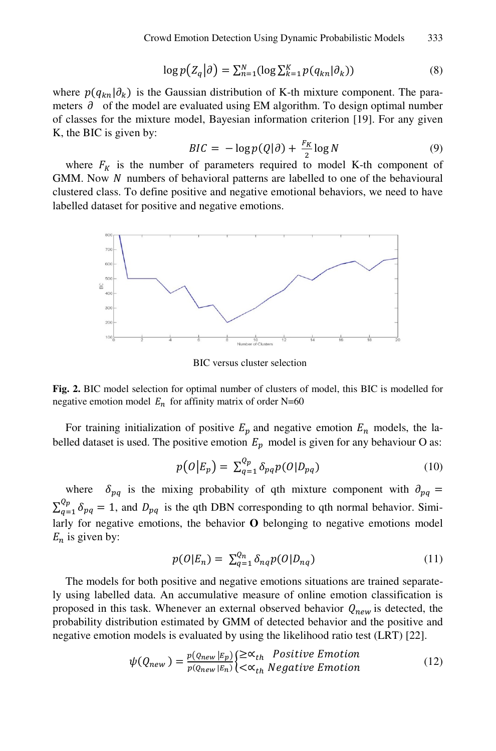$$
\log p(Z_q|\partial) = \sum_{n=1}^{N} (\log \sum_{k=1}^{K} p(q_{kn}|\partial_k))
$$
\n(8)

where  $p(q_{kn}|\partial_k)$  is the Gaussian distribution of K-th mixture component. The parameters  $\partial$  of the model are evaluated using EM algorithm. To design optimal number of classes for the mixture model, Bayesian information criterion [19]. For any given K, the BIC is given by:

$$
BIC = -\log p(Q|\partial) + \frac{F_K}{2}\log N \tag{9}
$$

where  $F_K$  is the number of parameters required to model K-th component of GMM. Now N numbers of behavioral patterns are labelled to one of the behavioural clustered class. To define positive and negative emotional behaviors, we need to have labelled dataset for positive and negative emotions.



BIC versus cluster selection

**Fig. 2.** BIC model selection for optimal number of clusters of model, this BIC is modelled for negative emotion model  $E_n$  for affinity matrix of order N=60

For training initialization of positive  $E_p$  and negative emotion  $E_n$  models, the labelled dataset is used. The positive emotion  $E_p$  model is given for any behaviour O as:

$$
p(O|E_p) = \sum_{q=1}^{Q_p} \delta_{pq} p(O|D_{pq})
$$
\n(10)

where  $\delta_{pq}$  is the mixing probability of qth mixture component with  $\partial_{pq}$  =  $\sum_{q=1}^{Q_p} \delta_{pq} = 1$ , and  $D_{pq}$  is the qth DBN corresponding to qth normal behavior. Similarly for negative emotions, the behavior **O** belonging to negative emotions model  $E_n$  is given by:

$$
p(O|E_n) = \sum_{q=1}^{Q_n} \delta_{nq} p(O|D_{nq})
$$
\n(11)

The models for both positive and negative emotions situations are trained separately using labelled data. An accumulative measure of online emotion classification is proposed in this task. Whenever an external observed behavior  $Q_{new}$  is detected, the probability distribution estimated by GMM of detected behavior and the positive and negative emotion models is evaluated by using the likelihood ratio test (LRT) [22].

$$
\psi(Q_{new}) = \frac{p(Q_{new}|E_p)}{p(Q_{new}|E_n)} \begin{cases} \geq \propto_{th} & \text{Positive Emotion} \\ \langle \propto_{th} & \text{Negative Emotion} \end{cases} \tag{12}
$$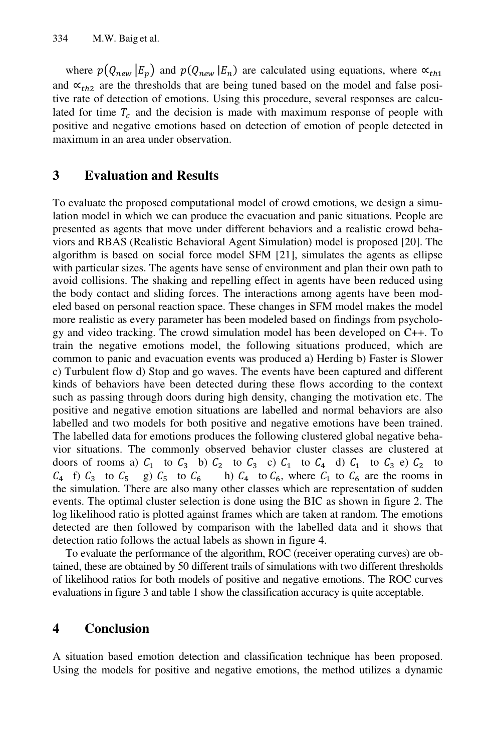where  $p(Q_{new} | E_p)$  and  $p(Q_{new} | E_n)$  are calculated using equations, where  $\alpha_{th1}$ and  $\alpha_{th2}$  are the thresholds that are being tuned based on the model and false positive rate of detection of emotions. Using this procedure, several responses are calculated for time  $T_c$  and the decision is made with maximum response of people with positive and negative emotions based on detection of emotion of people detected in maximum in an area under observation.

## **3 Evaluation and Results**

To evaluate the proposed computational model of crowd emotions, we design a simulation model in which we can produce the evacuation and panic situations. People are presented as agents that move under different behaviors and a realistic crowd behaviors and RBAS (Realistic Behavioral Agent Simulation) model is proposed [20]. The algorithm is based on social force model SFM [21], simulates the agents as ellipse with particular sizes. The agents have sense of environment and plan their own path to avoid collisions. The shaking and repelling effect in agents have been reduced using the body contact and sliding forces. The interactions among agents have been modeled based on personal reaction space. These changes in SFM model makes the model more realistic as every parameter has been modeled based on findings from psychology and video tracking. The crowd simulation model has been developed on C++. To train the negative emotions model, the following situations produced, which are common to panic and evacuation events was produced a) Herding b) Faster is Slower c) Turbulent flow d) Stop and go waves. The events have been captured and different kinds of behaviors have been detected during these flows according to the context such as passing through doors during high density, changing the motivation etc. The positive and negative emotion situations are labelled and normal behaviors are also labelled and two models for both positive and negative emotions have been trained. The labelled data for emotions produces the following clustered global negative behavior situations. The commonly observed behavior cluster classes are clustered at doors of rooms a)  $C_1$  to  $C_3$  b)  $C_2$  to  $C_3$  c)  $C_1$  to  $C_4$  d)  $C_1$  to  $C_3$  e)  $C_2$  to  $C_4$  f)  $C_3$  to  $C_5$  g)  $C_5$  to  $C_6$  h)  $C_4$  to  $C_6$ , where  $C_1$  to  $C_6$  are the rooms in the simulation. There are also many other classes which are representation of sudden events. The optimal cluster selection is done using the BIC as shown in figure 2. The log likelihood ratio is plotted against frames which are taken at random. The emotions detected are then followed by comparison with the labelled data and it shows that detection ratio follows the actual labels as shown in figure 4.

To evaluate the performance of the algorithm, ROC (receiver operating curves) are obtained, these are obtained by 50 different trails of simulations with two different thresholds of likelihood ratios for both models of positive and negative emotions. The ROC curves evaluations in figure 3 and table 1 show the classification accuracy is quite acceptable.

## **4 Conclusion**

A situation based emotion detection and classification technique has been proposed. Using the models for positive and negative emotions, the method utilizes a dynamic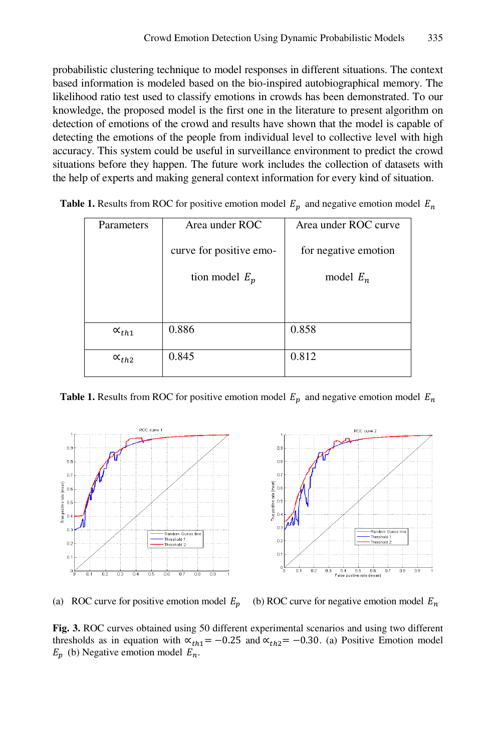probabilistic clustering technique to model responses in different situations. The context based information is modeled based on the bio-inspired autobiographical memory. The likelihood ratio test used to classify emotions in crowds has been demonstrated. To our knowledge, the proposed model is the first one in the literature to present algorithm on detection of emotions of the crowd and results have shown that the model is capable of detecting the emotions of the people from individual level to collective level with high accuracy. This system could be useful in surveillance environment to predict the crowd situations before they happen. The future work includes the collection of datasets with the help of experts and making general context information for every kind of situation.

| Parameters      | Area under ROC          | Area under ROC curve |
|-----------------|-------------------------|----------------------|
|                 |                         |                      |
|                 | curve for positive emo- | for negative emotion |
|                 |                         |                      |
|                 |                         |                      |
|                 | tion model $E_p$        | model $E_n$          |
|                 |                         |                      |
|                 |                         |                      |
|                 |                         |                      |
|                 |                         |                      |
| $\propto_{th1}$ | 0.886                   | 0.858                |
|                 |                         |                      |
|                 |                         |                      |
| $\propto_{th2}$ | 0.845                   | 0.812                |
|                 |                         |                      |
|                 |                         |                      |

| <b>Table 1.</b> Results from ROC for positive emotion model $E_p$ and negative emotion model $E_n$ |  |
|----------------------------------------------------------------------------------------------------|--|
|----------------------------------------------------------------------------------------------------|--|

**Table 1.** Results from ROC for positive emotion model  $E_p$  and negative emotion model  $E$ 



(a) ROC curve for positive emotion model  $E_n$ 

(b) ROC curve for negative emotion model  $E_n$ 

Fig. 3. ROC curves obtained using 50 different experimental scenarios and using two different thresholds as in equation with  $\alpha_{th1} = -0.25$  and  $\alpha_{th2} = -0.30$ . (a) Positive Emotion model  $E_p$  (b) Negative emotion model  $E_n$ .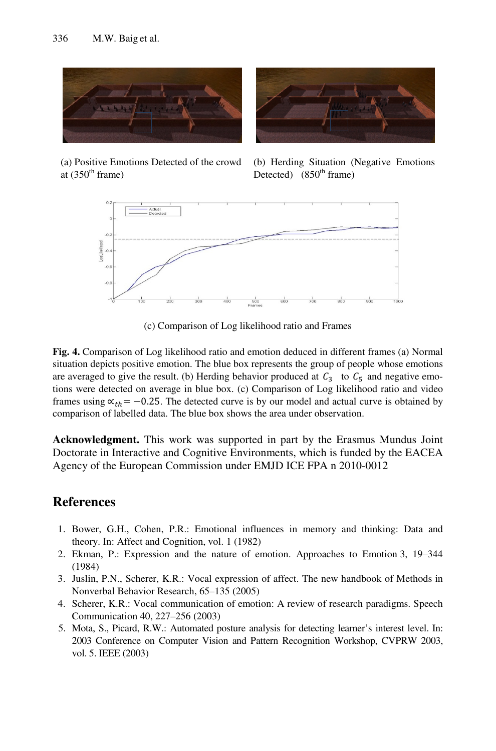



(a) Positive Emotions Detected of the crowd at  $(350<sup>th</sup> frame)$ 

(b) Herding Situation (Negative Emotions Detected)  $(850<sup>th</sup> frame)$ 



(c) Comparison of Log likelihood ratio and Frames

**Fig. 4.** Comparison of Log likelihood ratio and emotion deduced in different frames (a) Normal situation depicts positive emotion. The blue box represents the group of people whose emotions are averaged to give the result. (b) Herding behavior produced at  $C_3$  to  $C_5$  and negative emotions were detected on average in blue box. (c) Comparison of Log likelihood ratio and video frames using  $x_{th} = -0.25$ . The detected curve is by our model and actual curve is obtained by comparison of labelled data. The blue box shows the area under observation.

**Acknowledgment.** This work was supported in part by the Erasmus Mundus Joint Doctorate in Interactive and Cognitive Environments, which is funded by the EACEA Agency of the European Commission under EMJD ICE FPA n 2010-0012

# **References**

- 1. Bower, G.H., Cohen, P.R.: Emotional influences in memory and thinking: Data and theory. In: Affect and Cognition, vol. 1 (1982)
- 2. Ekman, P.: Expression and the nature of emotion. Approaches to Emotion 3, 19–344 (1984)
- 3. Juslin, P.N., Scherer, K.R.: Vocal expression of affect. The new handbook of Methods in Nonverbal Behavior Research, 65–135 (2005)
- 4. Scherer, K.R.: Vocal communication of emotion: A review of research paradigms. Speech Communication 40, 227–256 (2003)
- 5. Mota, S., Picard, R.W.: Automated posture analysis for detecting learner's interest level. In: 2003 Conference on Computer Vision and Pattern Recognition Workshop, CVPRW 2003, vol. 5. IEEE (2003)